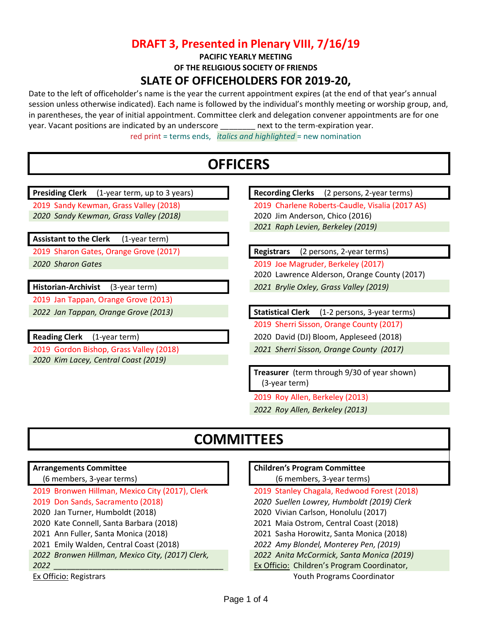### **DRAFT 3, Presented in Plenary VIII, 7/16/19**

**PACIFIC YEARLY MEETING**

**OF THE RELIGIOUS SOCIETY OF FRIENDS**

### **SLATE OF OFFICEHOLDERS FOR 2019-20,**

Date to the left of officeholder's name is the year the current appointment expires (at the end of that year's annual session unless otherwise indicated). Each name is followed by the individual's monthly meeting or worship group, and, in parentheses, the year of initial appointment. Committee clerk and delegation convener appointments are for one year. Vacant positions are indicated by an underscore \_\_\_\_\_\_\_\_\_ next to the term-expiration year. red print = terms ends, *italics and highlighted* = new nomination

# **OFFICERS**

**Presiding Clerk** (1-year term, up to 3 years) **Recording Clerks** (2 persons, 2-year terms)

2019 Sandy Kewman, Grass Valley (2018) 2019 Charlene Roberts-Caudle, Visalia (2017 AS) *2020 Sandy Kewman, Grass Valley (2018)* 2020 Jim Anderson, Chico (2016)

**Assistant to the Clerk** (1-year term)

2019 Sharon Gates, Orange Grove (2017) **Registrars** (2 persons, 2-year terms)

2019 Jan Tappan, Orange Grove (2013)

*2020 Kim Lacey, Central Coast (2019)*

*2021 Raph Levien, Berkeley (2019)*

*2020 Sharon Gates* 2019 Joe Magruder, Berkeley (2017)

2020 Lawrence Alderson, Orange County (2017)

**Historian-Archivist** (3-year term) *2021 Brylie Oxley, Grass Valley (2019)*

*2022 Jan Tappan, Orange Grove (2013)* **Statistical Clerk** (1-2 persons, 3-year terms)

2019 Sherri Sisson, Orange County (2017)

**Reading Clerk** (1-year term) 2020 David (DJ) Bloom, Appleseed (2018)

2019 Gordon Bishop, Grass Valley (2018) *2021 Sherri Sisson, Orange County (2017)*

**Treasurer** (term through 9/30 of year shown) (3-year term)

2019 Roy Allen, Berkeley (2013)

*2022 Roy Allen, Berkeley (2013)*

# **COMMITTEES**

#### **Arrangements Committee**

- (6 members, 3-year terms)
- 2019 Bronwen Hillman, Mexico City (2017), Clerk 2019 Stanley Chagala, Redwood Forest (2018)
- 
- 
- 
- 
- 
- 
- 

#### **Children's Program Committee**

(6 members, 3-year terms)

- 
- 2019 Don Sands, Sacramento (2018) *2020 Suellen Lowrey, Humboldt (2019) Clerk*
- 2020 Jan Turner, Humboldt (2018) 2020 Vivian Carlson, Honolulu (2017)
- 2020 Kate Connell, Santa Barbara (2018) 2021 Maia Ostrom, Central Coast (2018)
- 2021 Ann Fuller, Santa Monica (2018) 2021 Sasha Horowitz, Santa Monica (2018)
- 2021 Emily Walden, Central Coast (2018) *2022 Amy Blondel, Monterey Pen, (2019)*
- *2022 Bronwen Hillman, Mexico City, (2017) Clerk, 2022 Anita McCormick, Santa Monica (2019)*
- *2022 \_\_\_\_\_\_\_\_\_\_\_\_\_\_\_\_\_\_\_\_\_\_\_\_\_\_\_\_\_\_\_\_\_\_\_\_\_\_\_* Ex Officio: Children's Program Coordinator,

Ex Officio: Registrars Youth Programs Coordinator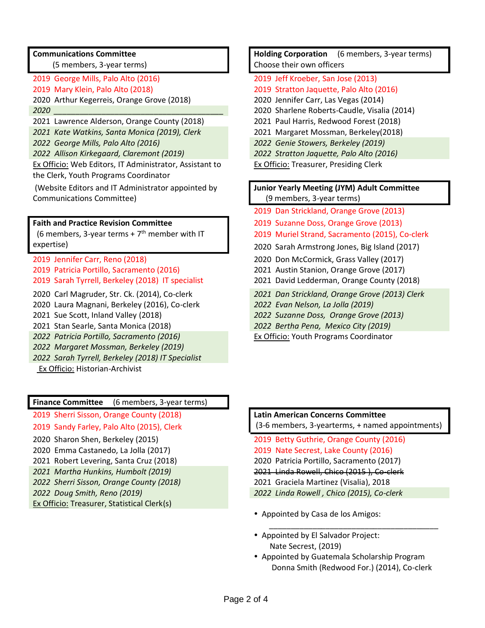#### **Communications Committee**

(5 members, 3-year terms)

- 
- 2020 Arthur Kegerreis, Orange Grove (2018) 2020 Jennifer Carr, Las Vegas (2014)
- 
- 2021 Lawrence Alderson, Orange County (2018) 2021 Paul Harris, Redwood Forest (2018)
- *2021 Kate Watkins, Santa Monica (2019), Clerk* 2021 Margaret Mossman, Berkeley(2018)
- 
- *2022 Allison Kirkegaard, Claremont (2019) 2022 Stratton Jaquette, Palo Alto (2016)*

Ex Officio: Web Editors, IT Administrator, Assistant to the Clerk, Youth Programs Coordinator

(Website Editors and IT Administrator appointed by Communications Committee)

#### **Faith and Practice Revision Committee**

 $(6$  members, 3-year terms +  $7<sup>th</sup>$  member with IT expertise)

2019 Jennifer Carr, Reno (2018) 2020 Don McCormick, Grass Valley (2017) 2019 Patricia Portillo, Sacramento (2016) 2021 Austin Stanion, Orange Grove (2017) 2019 Sarah Tyrrell, Berkeley (2018) IT specialist 2021 David Ledderman, Orange County (2018)

- 
- 2020 Laura Magnani, Berkeley (2016), Co-clerk *2022 Evan Nelson, La Jolla (2019)*
- 
- 
- *2022 Patricia Portillo, Sacramento (2016)*

*2022 Margaret Mossman, Berkeley (2019)*

- *2022 Sarah Tyrrell, Berkeley (2018) IT Specialist*
- Ex Officio: Historian-Archivist

#### **Finance Committee** (6 members, 3-year terms)

2019 Sherri Sisson, Orange County (2018) **Latin American Concerns Committee**

- 
- 
- 
- 
- 
- 
- Ex Officio: Treasurer, Statistical Clerk(s)

**Holding Corporation** (6 members, 3-year terms) Choose their own officers

- 2019 George Mills, Palo Alto (2016) 2019 Jeff Kroeber, San Jose (2013)
- 2019 Mary Klein, Palo Alto (2018) 2019 Stratton Jaquette, Palo Alto (2016)
	-
- *2020 \_\_\_\_\_\_\_\_\_\_\_\_\_\_\_\_\_\_\_\_\_\_\_\_\_\_\_\_\_\_\_\_\_\_\_\_\_\_\_* 2020 Sharlene Roberts-Caudle, Visalia (2014)
	-
	-
- *2022 George Mills, Palo Alto (2016) 2022 Genie Stowers, Berkeley (2019)*
	-
	- Ex Officio: Treasurer, Presiding Clerk

#### **Junior Yearly Meeting (JYM) Adult Committee** (9 members, 3-year terms)

- 2019 Dan Strickland, Orange Grove (2013)
- 2019 Suzanne Doss, Orange Grove (2013)
- 2019 Muriel Strand, Sacramento (2015), Co-clerk
- 2020 Sarah Armstrong Jones, Big Island (2017)
- 
- 
- 
- 2020 Carl Magruder, Str. Ck. (2014), Co-clerk *2021 Dan Strickland, Orange Grove (2013) Clerk*
	-
- 2021 Sue Scott, Inland Valley (2018) *2022 Suzanne Doss, Orange Grove (2013)*
- 2021 Stan Searle, Santa Monica (2018) *2022 Bertha Pena, Mexico City (2019)*
	- Ex Officio: Youth Programs Coordinator

# 2019 Sandy Farley, Palo Alto (2015), Clerk (3-6 members, 3-yearterms, + named appointments)

- 2020 Sharon Shen, Berkeley (2015) 2019 Betty Guthrie, Orange County (2016)
- 2020 Emma Castanedo, La Jolla (2017) 2019 Nate Secrest, Lake County (2016)
- 2021 Robert Levering, Santa Cruz (2018) 2020 Patricia Portillo, Sacramento (2017)
- *2021 Martha Hunkins, Humbolt (2019)* 2021 Linda Rowell, Chico (2015 ), Co-clerk
- *2022 Sherri Sisson, Orange County (2018)* 2021 Graciela Martinez (Visalia), 2018
- *2022 Doug Smith, Reno (2019) 2022 Linda Rowell , Chico (2015), Co-clerk*
	- Appointed by Casa de los Amigos:
	- Appointed by El Salvador Project: Nate Secrest, (2019)
	- Appointed by Guatemala Scholarship Program Donna Smith (Redwood For.) (2014), Co-clerk

*\_\_\_\_\_\_\_\_\_\_\_\_\_\_\_\_\_\_\_\_\_\_\_\_\_\_\_\_\_\_\_\_\_\_\_\_\_\_\_*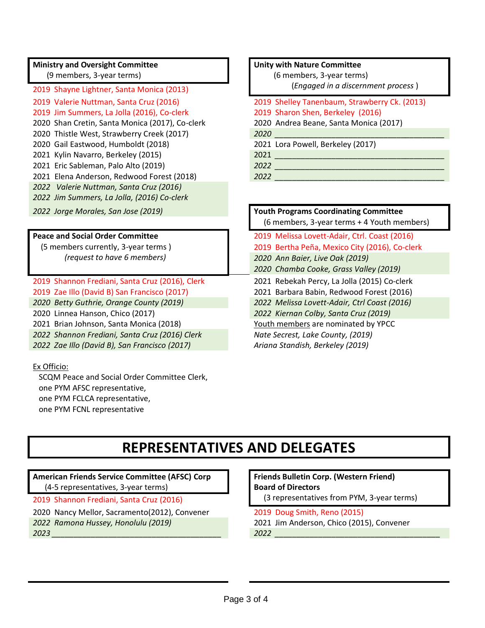#### **Ministry and Oversight Committee**

(9 members, 3-year terms)

2019 Shayne Lightner, Santa Monica (2013) 2019 Jim Summers, La Jolla (2016), Co-clerk 2019 Sharon Shen, Berkeley (2016) 2020 Shan Cretin, Santa Monica (2017), Co-clerk 2020 Andrea Beane, Santa Monica (2017) 2020 Thistle West, Strawberry Creek (2017) *2020 \_\_\_\_\_\_\_\_\_\_\_\_\_\_\_\_\_\_\_\_\_\_\_\_\_\_\_\_\_\_\_\_\_\_\_\_\_\_\_* 2020 Gail Eastwood, Humboldt (2018) 2021 Lora Powell, Berkeley (2017) 2021 Kylin Navarro, Berkeley (2015) 2021 *\_\_\_\_\_\_\_\_\_\_\_\_\_\_\_\_\_\_\_\_\_\_\_\_\_\_\_\_\_\_\_\_\_\_\_\_\_\_\_* 2021 Eric Sableman, Palo Alto (2019) *2022 \_\_\_\_\_\_\_\_\_\_\_\_\_\_\_\_\_\_\_\_\_\_\_\_\_\_\_\_\_\_\_\_\_\_\_\_\_\_\_* 2021 Elena Anderson, Redwood Forest (2018) *2022 \_\_\_\_\_\_\_\_\_\_\_\_\_\_\_\_\_\_\_\_\_\_\_\_\_\_\_\_\_\_\_\_\_\_\_\_\_\_\_ 2022 Valerie Nuttman, Santa Cruz (2016) 2022 Jim Summers, La Jolla, (2016) Co-clerk*

#### **Peace and Social Order Committee**

 (5 members currently, 3-year terms )  *(request to have 6 members)*

2019 Shannon Frediani, Santa Cruz (2016), Clerk 2021 Rebekah Percy, La Jolla (2015) Co-clerk 2019 Zae Illo (David B) San Francisco (2017) 2021 Barbara Babin, Redwood Forest (2016)

*2022 Shannon Frediani, Santa Cruz (2016) Clerk Nate Secrest, Lake County, (2019)*

*2022 Zae Illo (David B), San Francisco (2017) Ariana Standish, Berkeley (2019)*

#### Ex Officio:

 SCQM Peace and Social Order Committee Clerk, one PYM AFSC representative, one PYM FCLCA representative, one PYM FCNL representative

#### **Unity with Nature Committee**

 (6 members, 3-year terms) (*Engaged in a discernment process* )

- 2019 Valerie Nuttman, Santa Cruz (2016) 2019 Shelley Tanenbaum, Strawberry Ck. (2013)
	-

*2022 Jorge Morales, San Jose (2019)* **Youth Programs Coordinating Committee** (6 members, 3-year terms + 4 Youth members) 2019 Melissa Lovett-Adair, Ctrl. Coast (2016) 2019 Bertha Peña, Mexico City (2016), Co-clerk *2020 Ann Baier, Live Oak (2019) 2020 Chamba Cooke, Grass Valley (2019) 2020 Betty Guthrie, Orange County (2019) 2022 Melissa Lovett-Adair, Ctrl Coast (2016)* 2020 Linnea Hanson, Chico (2017) *2022 Kiernan Colby, Santa Cruz (2019)* 2021 Brian Johnson, Santa Monica (2018) Youth members are nominated by YPCC

# **REPRESENTATIVES AND DELEGATES**

### **American Friends Service Committee (AFSC) Corp**

(4-5 representatives, 3-year terms)

- 
- 2020 Nancy Mellor, Sacramento(2012), Convener 2019 Doug Smith, Reno (2015)
- 

**Friends Bulletin Corp. (Western Friend) Board of Directors** 

- 2019 Shannon Frediani, Santa Cruz (2016) (3 representatives from PYM, 3-year terms)
	-
- *2022 Ramona Hussey, Honolulu (2019)* 2021 Jim Anderson, Chico (2015), Convener *2023 \_\_\_\_\_\_\_\_\_\_\_\_\_\_\_\_\_\_\_\_\_\_\_\_\_\_\_\_\_\_\_\_\_\_\_\_\_\_\_ 2022 \_\_\_\_\_\_\_\_\_\_\_\_\_\_\_\_\_\_\_\_\_\_\_\_\_\_\_\_\_\_\_\_\_\_\_\_\_\_*